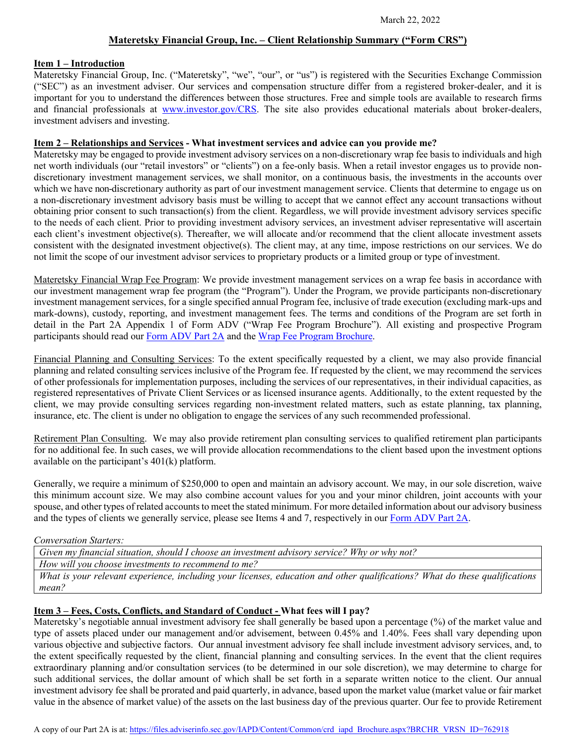## **Materetsky Financial Group, Inc. – Client Relationship Summary ("Form CRS")**

### **Item 1 – Introduction**

Materetsky Financial Group, Inc. ("Materetsky", "we", "our", or "us") is registered with the Securities Exchange Commission ("SEC") as an investment adviser. Our services and compensation structure differ from a registered broker-dealer, and it is important for you to understand the differences between those structures. Free and simple tools are available to research firms and financial professionals at [www.investor.gov/CRS.](http://www.investor.gov/CRS) The site also provides educational materials about broker-dealers, investment advisers and investing.

### **Item 2 – Relationships and Services - What investment services and advice can you provide me?**

Materetsky may be engaged to provide investment advisory services on a non-discretionary wrap fee basis to individuals and high net worth individuals (our "retail investors" or "clients") on a fee-only basis. When a retail investor engages us to provide nondiscretionary investment management services, we shall monitor, on a continuous basis, the investments in the accounts over which we have non-discretionary authority as part of our investment management service. Clients that determine to engage us on a non-discretionary investment advisory basis must be willing to accept that we cannot effect any account transactions without obtaining prior consent to such transaction(s) from the client. Regardless, we will provide investment advisory services specific to the needs of each client. Prior to providing investment advisory services, an investment adviser representative will ascertain each client's investment objective(s). Thereafter, we will allocate and/or recommend that the client allocate investment assets consistent with the designated investment objective(s). The client may, at any time, impose restrictions on our services. We do not limit the scope of our investment advisor services to proprietary products or a limited group or type of investment.

Materetsky Financial Wrap Fee Program: We provide investment management services on a wrap fee basis in accordance with our investment management wrap fee program (the "Program"). Under the Program, we provide participants non-discretionary investment management services, for a single specified annual Program fee, inclusive of trade execution (excluding mark-ups and mark-downs), custody, reporting, and investment management fees. The terms and conditions of the Program are set forth in detail in the Part 2A Appendix 1 of Form ADV ("Wrap Fee Program Brochure"). All existing and prospective Program participants should read ou[r Form ADV Part 2A](https://files.adviserinfo.sec.gov/IAPD/Content/Common/crd_iapd_Brochure.aspx?BRCHR_VRSN_ID=762918) and th[e Wrap Fee Program Brochure.](https://files.adviserinfo.sec.gov/IAPD/Content/Common/crd_iapd_Brochure.aspx?BRCHR_VRSN_ID=762917)

Financial Planning and Consulting Services: To the extent specifically requested by a client, we may also provide financial planning and related consulting services inclusive of the Program fee. If requested by the client, we may recommend the services of other professionals for implementation purposes, including the services of our representatives, in their individual capacities, as registered representatives of Private Client Services or as licensed insurance agents. Additionally, to the extent requested by the client, we may provide consulting services regarding non-investment related matters, such as estate planning, tax planning, insurance, etc. The client is under no obligation to engage the services of any such recommended professional.

Retirement Plan Consulting. We may also provide retirement plan consulting services to qualified retirement plan participants for no additional fee. In such cases, we will provide allocation recommendations to the client based upon the investment options available on the participant's 401(k) platform.

Generally, we require a minimum of \$250,000 to open and maintain an advisory account. We may, in our sole discretion, waive this minimum account size. We may also combine account values for you and your minor children, joint accounts with your spouse, and other types of related accounts to meet the stated minimum. For more detailed information about our advisory business and the types of clients we generally service, please see Items 4 and 7, respectively in ou[r Form ADV Part 2A.](https://files.adviserinfo.sec.gov/IAPD/Content/Common/crd_iapd_Brochure.aspx?BRCHR_VRSN_ID=762918)

### *Conversation Starters:*

*Given my financial situation, should I choose an investment advisory service? Why or why not?*

*How will you choose investments to recommend to me?*

*What is your relevant experience, including your licenses, education and other qualifications? What do these qualifications mean?*

# **Item 3 – Fees, Costs, Conflicts, and Standard of Conduct - What fees will I pay?**

Materetsky's negotiable annual investment advisory fee shall generally be based upon a percentage (%) of the market value and type of assets placed under our management and/or advisement, between 0.45% and 1.40%. Fees shall vary depending upon various objective and subjective factors. Our annual investment advisory fee shall include investment advisory services, and, to the extent specifically requested by the client, financial planning and consulting services. In the event that the client requires extraordinary planning and/or consultation services (to be determined in our sole discretion), we may determine to charge for such additional services, the dollar amount of which shall be set forth in a separate written notice to the client. Our annual investment advisory fee shall be prorated and paid quarterly, in advance, based upon the market value (market value or fair market value in the absence of market value) of the assets on the last business day of the previous quarter. Our fee to provide Retirement